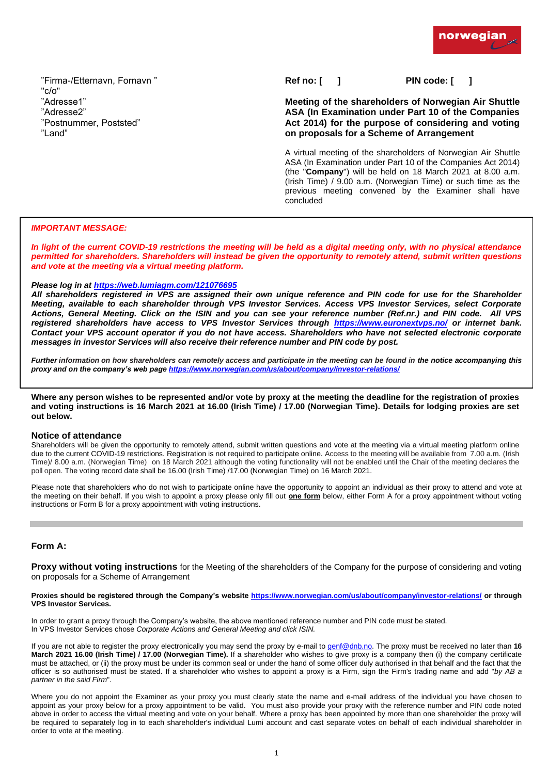"Firma-/Etternavn, Fornavn " "c/o" "Adresse1" "Adresse2" "Postnummer, Poststed" "Land"

**Ref no: [ ] PIN code: [ ]**

# **Meeting of the shareholders of Norwegian Air Shuttle ASA (In Examination under Part 10 of the Companies Act 2014) for the purpose of considering and voting on proposals for a Scheme of Arrangement**

A virtual meeting of the shareholders of Norwegian Air Shuttle ASA (In Examination under Part 10 of the Companies Act 2014) (the "**Company**") will be held on 18 March 2021 at 8.00 a.m. (Irish Time) / 9.00 a.m. (Norwegian Time) or such time as the previous meeting convened by the Examiner shall have concluded

# *IMPORTANT MESSAGE:*

*In light of the current COVID-19 restrictions the meeting will be held as a digital meeting only, with no physical attendance permitted for shareholders. Shareholders will instead be given the opportunity to remotely attend, submit written questions and vote at the meeting via a virtual meeting platform.*

### *Please log in at<https://web.lumiagm.com/121076695>*

*All shareholders registered in VPS are assigned their own unique reference and PIN code for use for the Shareholder Meeting, available to each shareholder through VPS Investor Services. Access VPS Investor Services, select Corporate Actions, General Meeting. Click on the ISIN and you can see your reference number (Ref.nr.) and PIN code. All VPS registered shareholders have access to VPS Investor Services through <https://www.euronextvps.no/> or internet bank. Contact your VPS account operator if you do not have access. Shareholders who have not selected electronic corporate messages in investor Services will also receive their reference number and PIN code by post.*

*Further information on how shareholders can remotely access and participate in the meeting can be found in the notice accompanying this proxy and on the company's web pag[e https://www.norwegian.com/us/about/company/investor-relations/](https://www.norwegian.com/us/about/company/investor-relations/)* 

**Where any person wishes to be represented and/or vote by proxy at the meeting the deadline for the registration of proxies and voting instructions is 16 March 2021 at 16.00 (Irish Time) / 17.00 (Norwegian Time). Details for lodging proxies are set out below.** 

### **Notice of attendance**

Shareholders will be given the opportunity to remotely attend, submit written questions and vote at the meeting via a virtual meeting platform online due to the current COVID-19 restrictions. Registration is not required to participate online. Access to the meeting will be available from 7.00 a.m. (Irish Time)/ 8.00 a.m. (Norwegian Time) on 18 March 2021 although the voting functionality will not be enabled until the Chair of the meeting declares the poll open. The voting record date shall be 16.00 (Irish Time) /17.00 (Norwegian Time) on 16 March 2021.

Please note that shareholders who do not wish to participate online have the opportunity to appoint an individual as their proxy to attend and vote at the meeting on their behalf. If you wish to appoint a proxy please only fill out **one form** below, either Form A for a proxy appointment without voting instructions or Form B for a proxy appointment with voting instructions.

## **Form A:**

**Proxy without voting instructions** for the Meeting of the shareholders of the Company for the purpose of considering and voting on proposals for a Scheme of Arrangement

**Proxies should be registered through the Company's website<https://www.norwegian.com/us/about/company/investor-relations/> or through VPS Investor Services.**

In order to grant a proxy through the Company's website, the above mentioned reference number and PIN code must be stated. In VPS Investor Services chose *Corporate Actions and General Meeting and click ISIN.*

If you are not able to register the proxy electronically you may send the proxy by e-mail to [genf@dnb.no.](mailto:genf@dnb.no) The proxy must be received no later than **16 March 2021 16.00 (Irish Time) / 17.00 (Norwegian Time).** If a shareholder who wishes to give proxy is a company then (i) the company certificate must be attached, or (ii) the proxy must be under its common seal or under the hand of some officer duly authorised in that behalf and the fact that the officer is so authorised must be stated. If a shareholder who wishes to appoint a proxy is a Firm, sign the Firm's trading name and add "*by AB a partner in the said Firm*".

Where you do not appoint the Examiner as your proxy you must clearly state the name and e-mail address of the individual you have chosen to appoint as your proxy below for a proxy appointment to be valid. You must also provide your proxy with the reference number and PIN code noted above in order to access the virtual meeting and vote on your behalf. Where a proxy has been appointed by more than one shareholder the proxy will be required to separately log in to each shareholder's individual Lumi account and cast separate votes on behalf of each individual shareholder in order to vote at the meeting.